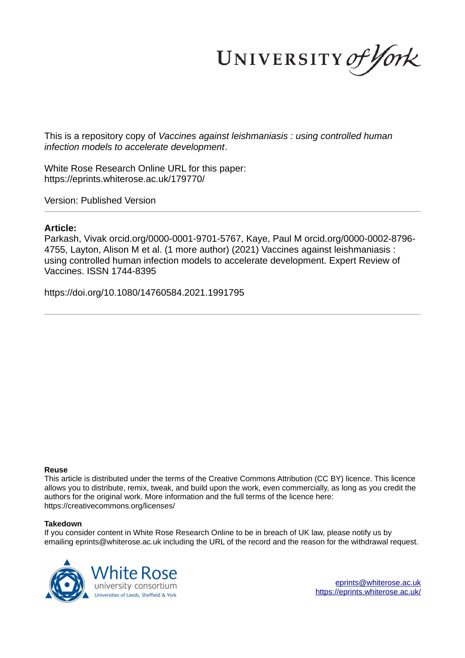UNIVERSITY of York

This is a repository copy of *Vaccines against leishmaniasis : using controlled human infection models to accelerate development*.

White Rose Research Online URL for this paper: https://eprints.whiterose.ac.uk/179770/

Version: Published Version

## **Article:**

Parkash, Vivak orcid.org/0000-0001-9701-5767, Kaye, Paul M orcid.org/0000-0002-8796- 4755, Layton, Alison M et al. (1 more author) (2021) Vaccines against leishmaniasis : using controlled human infection models to accelerate development. Expert Review of Vaccines. ISSN 1744-8395

https://doi.org/10.1080/14760584.2021.1991795

## **Reuse**

This article is distributed under the terms of the Creative Commons Attribution (CC BY) licence. This licence allows you to distribute, remix, tweak, and build upon the work, even commercially, as long as you credit the authors for the original work. More information and the full terms of the licence here: https://creativecommons.org/licenses/

## **Takedown**

If you consider content in White Rose Research Online to be in breach of UK law, please notify us by emailing eprints@whiterose.ac.uk including the URL of the record and the reason for the withdrawal request.

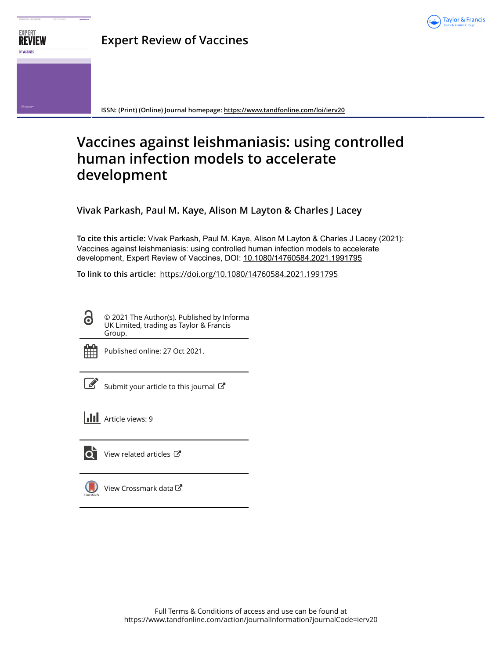



**ISSN: (Print) (Online) Journal homepage: https://www.tandfonline.com/loi/ierv20**

# **Vaccines against leishmaniasis: using controlled human infection models to accelerate development**

**Vivak Parkash, Paul M. Kaye, Alison M Layton & Charles J Lacey**

**To cite this article:** Vivak Parkash, Paul M. Kaye, Alison M Layton & Charles J Lacey (2021): Vaccines against leishmaniasis: using controlled human infection models to accelerate development, Expert Review of Vaccines, DOI: 10.1080/14760584.2021.1991795

**To link to this article:** https://doi.org/10.1080/14760584.2021.1991795

© 2021 The Author(s). Published by Informa UK Limited, trading as Taylor & Francis Group.



 $\bullet$ 

Published online: 27 Oct 2021.

Submit your article to this journal  $\mathbb{Z}$ 

**Article views: 9** 



 $\overline{\mathbf{Q}}$  View related articles  $\mathbf{C}$ 

View Crossmark data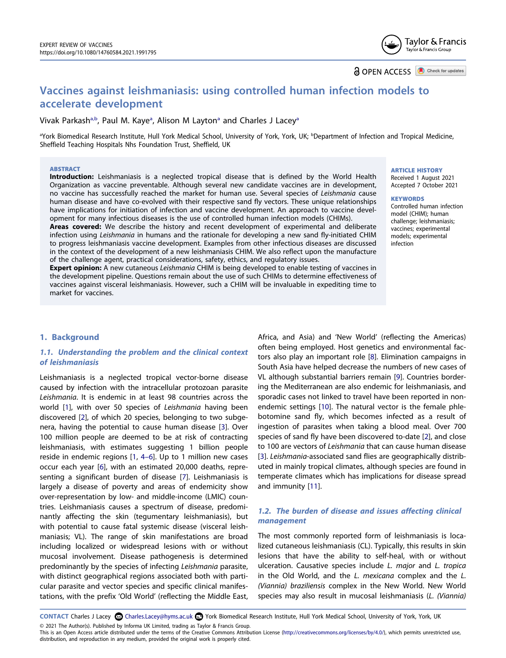Taylor & Francis Taylor & Francis Group

**a** OPEN ACCESS **a** Check for updates

## **Vaccines against leishmaniasis: using controlled human infection models to accelerate development**

## Vivak Parkash<sup>[a,b](#page-2-0)</sup>, P[a](#page-2-0)ul M. Kaye<sup>a</sup>, Alison M Layton<sup>a</sup> and Charles J Lacey<sup>a</sup>

<span id="page-2-0"></span>aYork Biomedical Research Institute, Hull York Medical School, University of York, York, UK; <sup>b</sup>Department of Infection and Tropical Medicine, Sheffield Teaching Hospitals Nhs Foundation Trust, Sheffield, UK

#### **ABSTRACT**

**Introduction:** Leishmaniasis is a neglected tropical disease that is defined by the World Health Organization as vaccine preventable. Although several new candidate vaccines are in development, no vaccine has successfully reached the market for human use. Several species of *Leishmania* cause human disease and have co-evolved with their respective sand fly vectors. These unique relationships have implications for initiation of infection and vaccine development. An approach to vaccine development for many infectious diseases is the use of controlled human infection models (CHIMs).

**Areas covered:** We describe the history and recent development of experimental and deliberate infection using *Leishmania* in humans and the rationale for developing a new sand fly-initiated CHIM to progress leishmaniasis vaccine development. Examples from other infectious diseases are discussed in the context of the development of a new leishmaniasis CHIM. We also reflect upon the manufacture of the challenge agent, practical considerations, safety, ethics, and regulatory issues.

**Expert opinion:** A new cutaneous *Leishmania* CHIM is being developed to enable testing of vaccines in the development pipeline. Questions remain about the use of such CHIMs to determine effectiveness of vaccines against visceral leishmaniasis. However, such a CHIM will be invaluable in expediting time to market for vaccines.

#### ARTICLE HISTORY

Received 1 August 2021 Accepted 7 October 2021

#### **KEYWORDS**

Controlled human infection model (CHIM); human challenge; leishmaniasis; vaccines; experimental models; experimental infection

## **1. Background**

## **1.1. Understanding the problem and the clinical context of leishmaniasis**

<span id="page-2-1"></span>Leishmaniasis is a neglected tropical vector-borne disease caused by infection with the intracellular protozoan parasite *Leishmania*. It is endemic in at least 98 countries across the world [\[1](#page-10-0)], with over 50 species of *Leishmania* having been discovered [\[2](#page-10-1)], of which 20 species, belonging to two subgenera, having the potential to cause human disease [\[3](#page-10-2)]. Over 100 million people are deemed to be at risk of contracting leishmaniasis, with estimates suggesting 1 billion people reside in endemic regions [\[1](#page-10-0), [4–6](#page-10-3)]. Up to 1 million new cases occur each year [[6\]](#page-10-4), with an estimated 20,000 deaths, representing a significant burden of disease [\[7](#page-10-5)]. Leishmaniasis is largely a disease of poverty and areas of endemicity show over-representation by low- and middle-income (LMIC) countries. Leishmaniasis causes a spectrum of disease, predominantly affecting the skin (tegumentary leishmaniasis), but with potential to cause fatal systemic disease (visceral leishmaniasis; VL). The range of skin manifestations are broad including localized or widespread lesions with or without mucosal involvement. Disease pathogenesis is determined predominantly by the species of infecting *Leishmania* parasite, with distinct geographical regions associated both with particular parasite and vector species and specific clinical manifestations, with the prefix 'Old World' (reflecting the Middle East,

<span id="page-2-5"></span><span id="page-2-4"></span>Africa, and Asia) and 'New World' (reflecting the Americas) often being employed. Host genetics and environmental factors also play an important role [\[8](#page-10-6)]. Elimination campaigns in South Asia have helped decrease the numbers of new cases of VL although substantial barriers remain [\[9](#page-10-7)]. Countries bordering the Mediterranean are also endemic for leishmaniasis, and sporadic cases not linked to travel have been reported in nonendemic settings [[10](#page-10-8)]. The natural vector is the female phlebotomine sand fly, which becomes infected as a result of ingestion of parasites when taking a blood meal. Over 700 species of sand fly have been discovered to-date [\[2](#page-10-1)], and close to 100 are vectors of *Leishmania* that can cause human disease [\[3](#page-10-2)]. *Leishmania*-associated sand flies are geographically distributed in mainly tropical climates, although species are found in temperate climates which has implications for disease spread and immunity [\[11](#page-10-9)].

## <span id="page-2-6"></span><span id="page-2-3"></span><span id="page-2-2"></span>**1.2. The burden of disease and issues affecting clinical management**

The most commonly reported form of leishmaniasis is localized cutaneous leishmaniasis (CL). Typically, this results in skin lesions that have the ability to self-heal, with or without ulceration. Causative species include *L. major* and *L. tropica*  in the Old World, and the *L. mexicana* complex and the *L. (Viannia) braziliensis* complex in the New World. New World species may also result in mucosal leishmaniasis (*L. (Viannia)* 

CONTACT Charles J Lacey & Charles.Lacey@hyms.ac.uk <sup>3</sup> York Biomedical Research Institute, Hull York Medical School, University of York, York, UK

© 2021 The Author(s). Published by Informa UK Limited, trading as Taylor & Francis Group. This is an Open Access article distributed under the terms of the Creative Commons Attribution License (http://creativecommons.org/licenses/by/4.0/), which permits unrestricted use, distribution, and reproduction in any medium, provided the original work is properly cited.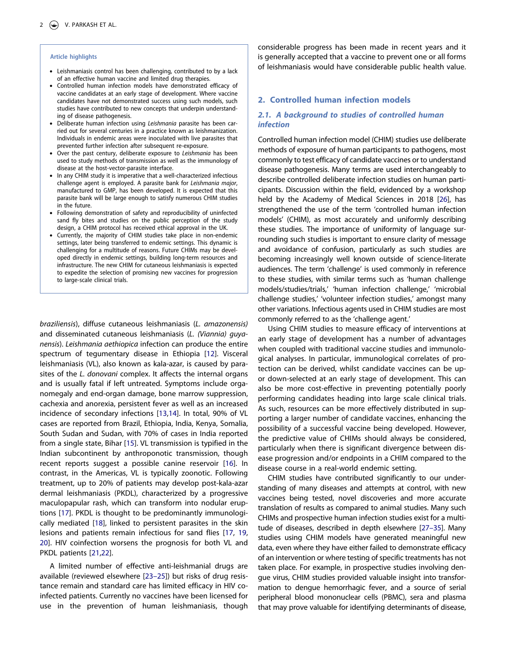#### **Article highlights**

- Leishmaniasis control has been challenging, contributed to by a lack of an effective human vaccine and limited drug therapies.
- Controlled human infection models have demonstrated efficacy of vaccine candidates at an early stage of development. Where vaccine candidates have not demonstrated success using such models, such studies have contributed to new concepts that underpin understanding of disease pathogenesis.
- Deliberate human infection using Leishmania parasite has been carried out for several centuries in a practice known as leishmanization. Individuals in endemic areas were inoculated with live parasites that prevented further infection after subsequent re-exposure.
- Over the past century, deliberate exposure to Leishmania has been used to study methods of transmission as well as the immunology of disease at the host-vector-parasite interface.
- In any CHIM study it is imperative that a well-characterized infectious challenge agent is employed. A parasite bank for Leishmania major, manufactured to GMP, has been developed. It is expected that this parasite bank will be large enough to satisfy numerous CHIM studies in the future.
- Following demonstration of safety and reproducibility of uninfected sand fly bites and studies on the public perception of the study design, a CHIM protocol has received ethical approval in the UK.
- Currently, the majority of CHIM studies take place in non-endemic settings, later being transferred to endemic settings. This dynamic is challenging for a multitude of reasons. Future CHIMs may be developed directly in endemic settings, building long-term resources and infrastructure. The new CHIM for cutaneous leishmaniasis is expected to expedite the selection of promising new vaccines for progression to large-scale clinical trials.

<span id="page-3-2"></span><span id="page-3-1"></span><span id="page-3-0"></span>*braziliensis*), diffuse cutaneous leishmaniasis (*L. amazonensis)*  and disseminated cutaneous leishmaniasis (*L. (Viannia) guyanensis*). *Leishmania aethiopica* infection can produce the entire spectrum of tegumentary disease in Ethiopia [[12\]](#page-10-10). Visceral leishmaniasis (VL), also known as kala-azar, is caused by parasites of the *L. donovani* complex. It affects the internal organs and is usually fatal if left untreated. Symptoms include organomegaly and end-organ damage, bone marrow suppression, cachexia and anorexia, persistent fever as well as an increased incidence of secondary infections [\[13](#page-10-11)[,14\]](#page-10-12). In total, 90% of VL cases are reported from Brazil, Ethiopia, India, Kenya, Somalia, South Sudan and Sudan, with 70% of cases in India reported from a single state, Bihar [\[15\]](#page-10-13). VL transmission is typified in the Indian subcontinent by anthroponotic transmission, though recent reports suggest a possible canine reservoir [\[16](#page-10-14)]. In contrast, in the Americas, VL is typically zoonotic. Following treatment, up to 20% of patients may develop post-kala-azar dermal leishmaniasis (PKDL), characterized by a progressive maculopapular rash, which can transform into nodular eruptions [\[17](#page-10-15)]. PKDL is thought to be predominantly immunologically mediated [\[18\]](#page-10-16), linked to persistent parasites in the skin lesions and patients remain infectious for sand flies [\[17,](#page-10-15) [19,](#page-10-17) [20\]](#page-10-18). HIV coinfection worsens the prognosis for both VL and PKDL patients [\[21,](#page-10-19)[22\]](#page-10-20).

<span id="page-3-7"></span><span id="page-3-6"></span><span id="page-3-5"></span><span id="page-3-4"></span><span id="page-3-3"></span>A limited number of effective anti-leishmanial drugs are available (reviewed elsewhere [[23–25](#page-10-21)]) but risks of drug resistance remain and standard care has limited efficacy in HIV coinfected patients. Currently no vaccines have been licensed for use in the prevention of human leishmaniasis, though

considerable progress has been made in recent years and it is generally accepted that a vaccine to prevent one or all forms of leishmaniasis would have considerable public health value.

## **2. Controlled human infection models**

## **2.1. A background to studies of controlled human infection**

<span id="page-3-8"></span>Controlled human infection model (CHIM) studies use deliberate methods of exposure of human participants to pathogens, most commonly to test efficacy of candidate vaccines or to understand disease pathogenesis. Many terms are used interchangeably to describe controlled deliberate infection studies on human participants. Discussion within the field, evidenced by a workshop held by the Academy of Medical Sciences in 2018 [\[26\]](#page-10-22), has strengthened the use of the term 'controlled human infection models' (CHIM), as most accurately and uniformly describing these studies. The importance of uniformity of language surrounding such studies is important to ensure clarity of message and avoidance of confusion, particularly as such studies are becoming increasingly well known outside of science-literate audiences. The term 'challenge' is used commonly in reference to these studies, with similar terms such as 'human challenge models/studies/trials,' 'human infection challenge,' 'microbial challenge studies,' 'volunteer infection studies,' amongst many other variations. Infectious agents used in CHIM studies are most commonly referred to as the 'challenge agent.'

Using CHIM studies to measure efficacy of interventions at an early stage of development has a number of advantages when coupled with traditional vaccine studies and immunological analyses. In particular, immunological correlates of protection can be derived, whilst candidate vaccines can be upor down-selected at an early stage of development. This can also be more cost-effective in preventing potentially poorly performing candidates heading into large scale clinical trials. As such, resources can be more effectively distributed in supporting a larger number of candidate vaccines, enhancing the possibility of a successful vaccine being developed. However, the predictive value of CHIMs should always be considered, particularly when there is significant divergence between disease progression and/or endpoints in a CHIM compared to the disease course in a real-world endemic setting.

<span id="page-3-9"></span>CHIM studies have contributed significantly to our understanding of many diseases and attempts at control, with new vaccines being tested, novel discoveries and more accurate translation of results as compared to animal studies. Many such CHIMs and prospective human infection studies exist for a multitude of diseases, described in depth elsewhere [[27–35\]](#page-10-23). Many studies using CHIM models have generated meaningful new data, even where they have either failed to demonstrate efficacy of an intervention or where testing of specific treatments has not taken place. For example, in prospective studies involving dengue virus, CHIM studies provided valuable insight into transformation to dengue hemorrhagic fever, and a source of serial peripheral blood mononuclear cells (PBMC), sera and plasma that may prove valuable for identifying determinants of disease,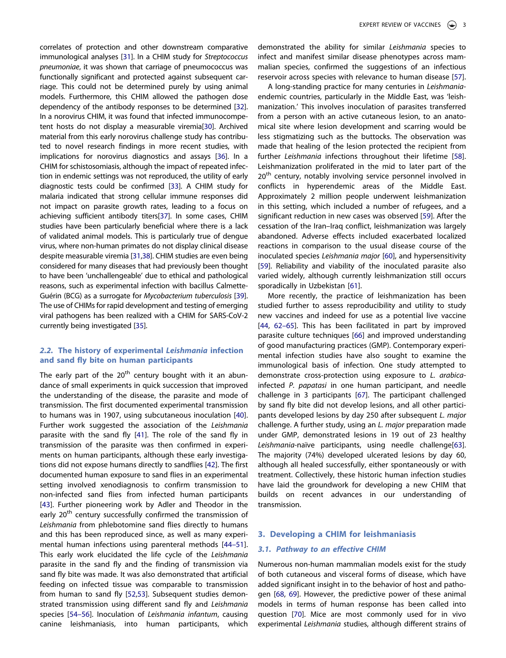EXPERT REVIEW OF VACCINES  $\Rightarrow$  3

<span id="page-4-5"></span><span id="page-4-3"></span><span id="page-4-2"></span><span id="page-4-0"></span>correlates of protection and other downstream comparative immunological analyses [\[31\]](#page-10-24). In a CHIM study for *Streptococcus pneumoniae*, it was shown that carriage of pneumococcus was functionally significant and protected against subsequent carriage. This could not be determined purely by using animal models. Furthermore, this CHIM allowed the pathogen dose dependency of the antibody responses to be determined [[32](#page-10-25)]. In a norovirus CHIM, it was found that infected immunocompetent hosts do not display a measurable viremia[[30](#page-10-26)]. Archived material from this early norovirus challenge study has contributed to novel research findings in more recent studies, with implications for norovirus diagnostics and assays [[36](#page-10-27)]. In a CHIM for schistosomiasis, although the impact of repeated infection in endemic settings was not reproduced, the utility of early diagnostic tests could be confirmed [[33](#page-10-28)]. A CHIM study for malaria indicated that strong cellular immune responses did not impact on parasite growth rates, leading to a focus on achieving sufficient antibody titers[[37](#page-11-0)]. In some cases, CHIM studies have been particularly beneficial where there is a lack of validated animal models. This is particularly true of dengue virus, where non-human primates do not display clinical disease despite measurable viremia [\[31,](#page-10-24)[38\]](#page-11-1). CHIM studies are even being considered for many diseases that had previously been thought to have been 'unchallengeable' due to ethical and pathological reasons, such as experimental infection with bacillus Calmette-Guérin (BCG) as a surrogate for *Mycobacterium tuberculosis* [[39](#page-11-2)]. The use of CHIMs for rapid development and testing of emerging viral pathogens has been realized with a CHIM for SARS-CoV-2 currently being investigated [[35](#page-10-29)].

## <span id="page-4-6"></span><span id="page-4-4"></span><span id="page-4-1"></span>**2.2. The history of experimental Leishmania infection and sand fly bite on human participants**

<span id="page-4-11"></span><span id="page-4-9"></span><span id="page-4-8"></span><span id="page-4-7"></span>The early part of the  $20<sup>th</sup>$  century bought with it an abundance of small experiments in quick succession that improved the understanding of the disease, the parasite and mode of transmission. The first documented experimental transmission to humans was in 1907, using subcutaneous inoculation [\[40](#page-11-3)]. Further work suggested the association of the *Leishmania*  parasite with the sand fly [[41](#page-11-4)]. The role of the sand fly in transmission of the parasite was then confirmed in experiments on human participants, although these early investigations did not expose humans directly to sandflies [[42](#page-11-5)]. The first documented human exposure to sand flies in an experimental setting involved xenodiagnosis to confirm transmission to non-infected sand flies from infected human participants [[43](#page-11-6)]. Further pioneering work by Adler and Theodor in the early 20<sup>th</sup> century successfully confirmed the transmission of *Leishmania* from phlebotomine sand flies directly to humans and this has been reproduced since, as well as many experimental human infections using parenteral methods [[44–51](#page-11-7)]. This early work elucidated the life cycle of the *Leishmania*  parasite in the sand fly and the finding of transmission via sand fly bite was made. It was also demonstrated that artificial feeding on infected tissue was comparable to transmission from human to sand fly [[52,](#page-11-8)[53](#page-11-9)]. Subsequent studies demonstrated transmission using different sand fly and *Leishmania*  species [[54–56](#page-11-10)]. Inoculation of *Leishmania infantum*, causing canine leishmaniasis, into human participants, which demonstrated the ability for similar *Leishmania* species to infect and manifest similar disease phenotypes across mammalian species, confirmed the suggestions of an infectious reservoir across species with relevance to human disease [\[57\]](#page-11-11).

<span id="page-4-14"></span><span id="page-4-13"></span>A long-standing practice for many centuries in *Leishmania*endemic countries, particularly in the Middle East, was 'leishmanization.' This involves inoculation of parasites transferred from a person with an active cutaneous lesion, to an anatomical site where lesion development and scarring would be less stigmatizing such as the buttocks. The observation was made that healing of the lesion protected the recipient from further *Leishmania* infections throughout their lifetime [\[58\]](#page-11-12). Leishmanization proliferated in the mid to later part of the 20<sup>th</sup> century, notably involving service personnel involved in conflicts in hyperendemic areas of the Middle East. Approximately 2 million people underwent leishmanization in this setting, which included a number of refugees, and a significant reduction in new cases was observed [\[59\]](#page-11-13). After the cessation of the Iran–Iraq conflict, leishmanization was largely abandoned. Adverse effects included exacerbated localized reactions in comparison to the usual disease course of the inoculated species *Leishmania major* [\[60](#page-11-14)], and hypersensitivity [\[59](#page-11-13)]. Reliability and viability of the inoculated parasite also varied widely, although currently leishmanization still occurs sporadically in Uzbekistan [[61](#page-11-15)].

<span id="page-4-20"></span><span id="page-4-19"></span><span id="page-4-17"></span><span id="page-4-16"></span><span id="page-4-15"></span><span id="page-4-10"></span>More recently, the practice of leishmanization has been studied further to assess reproducibility and utility to study new vaccines and indeed for use as a potential live vaccine [\[44](#page-11-7), [62–65\]](#page-11-16). This has been facilitated in part by improved parasite culture techniques [[66\]](#page-11-17) and improved understanding of good manufacturing practices (GMP). Contemporary experimental infection studies have also sought to examine the immunological basis of infection. One study attempted to demonstrate cross-protection using exposure to *L. arabica*infected *P. papatasi* in one human participant, and needle challenge in 3 participants [[67](#page-11-18)]. The participant challenged by sand fly bite did not develop lesions, and all other participants developed lesions by day 250 after subsequent *L. major*  challenge. A further study, using an *L. major* preparation made under GMP, demonstrated lesions in 19 out of 23 healthy *Leishmania*-naïve participants, using needle challenge[\[63\]](#page-11-19). The majority (74%) developed ulcerated lesions by day 60, although all healed successfully, either spontaneously or with treatment. Collectively, these historic human infection studies have laid the groundwork for developing a new CHIM that builds on recent advances in our understanding of transmission.

#### <span id="page-4-18"></span>**3. Developing a CHIM for leishmaniasis**

## **3.1. Pathway to an effective CHIM**

<span id="page-4-22"></span><span id="page-4-21"></span><span id="page-4-12"></span>Numerous non-human mammalian models exist for the study of both cutaneous and visceral forms of disease, which have added significant insight in to the behavior of host and pathogen [[68](#page-11-20), [69\]](#page-11-21). However, the predictive power of these animal models in terms of human response has been called into question [[70\]](#page-11-22). Mice are most commonly used for in vivo experimental *Leishmania* studies, although different strains of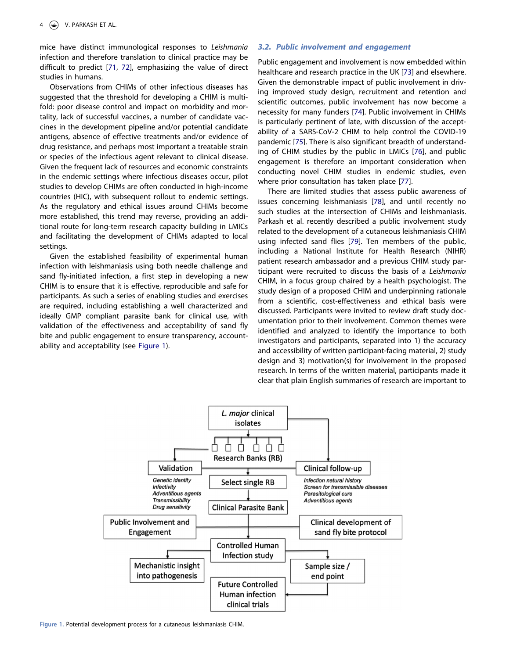<span id="page-5-1"></span>mice have distinct immunological responses to *Leishmania*  infection and therefore translation to clinical practice may be difficult to predict [[71](#page-11-23), [72](#page-11-24)], emphasizing the value of direct studies in humans.

Observations from CHIMs of other infectious diseases has suggested that the threshold for developing a CHIM is multifold: poor disease control and impact on morbidity and mortality, lack of successful vaccines, a number of candidate vaccines in the development pipeline and/or potential candidate antigens, absence of effective treatments and/or evidence of drug resistance, and perhaps most important a treatable strain or species of the infectious agent relevant to clinical disease. Given the frequent lack of resources and economic constraints in the endemic settings where infectious diseases occur, pilot studies to develop CHIMs are often conducted in high-income countries (HIC), with subsequent rollout to endemic settings. As the regulatory and ethical issues around CHIMs become more established, this trend may reverse, providing an additional route for long-term research capacity building in LMICs and facilitating the development of CHIMs adapted to local settings.

Given the established feasibility of experimental human infection with leishmaniasis using both needle challenge and sand fly-initiated infection, a first step in developing a new CHIM is to ensure that it is effective, reproducible and safe for participants. As such a series of enabling studies and exercises are required, including establishing a well characterized and ideally GMP compliant parasite bank for clinical use, with validation of the effectiveness and acceptability of sand fly bite and public engagement to ensure transparency, accountability and acceptability (see [Figure 1\)](#page-5-0).

## **3.2. Public involvement and engagement**

<span id="page-5-2"></span>Public engagement and involvement is now embedded within healthcare and research practice in the UK [\[73\]](#page-11-25) and elsewhere. Given the demonstrable impact of public involvement in driving improved study design, recruitment and retention and scientific outcomes, public involvement has now become a necessity for many funders [[74](#page-11-26)]. Public involvement in CHIMs is particularly pertinent of late, with discussion of the acceptability of a SARS-CoV-2 CHIM to help control the COVID-19 pandemic [[75](#page-11-27)]. There is also significant breadth of understanding of CHIM studies by the public in LMICs [\[76\]](#page-11-28), and public engagement is therefore an important consideration when conducting novel CHIM studies in endemic studies, even where prior consultation has taken place [[77\]](#page-11-29).

<span id="page-5-7"></span><span id="page-5-6"></span><span id="page-5-5"></span><span id="page-5-4"></span><span id="page-5-3"></span>There are limited studies that assess public awareness of issues concerning leishmaniasis [\[78\]](#page-11-30), and until recently no such studies at the intersection of CHIMs and leishmaniasis. Parkash et al. recently described a public involvement study related to the development of a cutaneous leishmaniasis CHIM using infected sand flies [\[79\]](#page-11-31). Ten members of the public, including a National Institute for Health Research (NIHR) patient research ambassador and a previous CHIM study participant were recruited to discuss the basis of a *Leishmania*  CHIM, in a focus group chaired by a health psychologist. The study design of a proposed CHIM and underpinning rationale from a scientific, cost-effectiveness and ethical basis were discussed. Participants were invited to review draft study documentation prior to their involvement. Common themes were identified and analyzed to identify the importance to both investigators and participants, separated into 1) the accuracy and accessibility of written participant-facing material, 2) study design and 3) motivation(s) for involvement in the proposed research. In terms of the written material, participants made it clear that plain English summaries of research are important to

<span id="page-5-0"></span>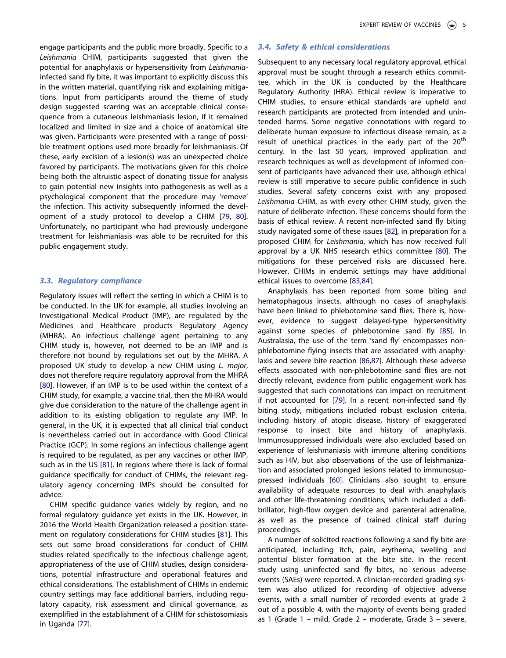engage participants and the public more broadly. Specific to a *Leishmania* CHIM, participants suggested that given the potential for anaphylaxis or hypersensitivity from *Leishmania*infected sand fly bite, it was important to explicitly discuss this in the written material, quantifying risk and explaining mitigations. Input from participants around the theme of study design suggested scarring was an acceptable clinical consequence from a cutaneous leishmaniasis lesion, if it remained localized and limited in size and a choice of anatomical site was given. Participants were presented with a range of possible treatment options used more broadly for leishmaniasis. Of these, early excision of a lesion(s) was an unexpected choice favored by participants. The motivations given for this choice being both the altruistic aspect of donating tissue for analysis to gain potential new insights into pathogenesis as well as a psychological component that the procedure may 'remove' the infection. This activity subsequently informed the development of a study protocol to develop a CHIM [\[79,](#page-11-31) [80](#page-11-32)]. Unfortunately, no participant who had previously undergone treatment for leishmaniasis was able to be recruited for this public engagement study.

## **3.3. Regulatory compliance**

Regulatory issues will reflect the setting in which a CHIM is to be conducted. In the UK for example, all studies involving an Investigational Medical Product (IMP), are regulated by the Medicines and Healthcare products Regulatory Agency (MHRA). An infectious challenge agent pertaining to any CHIM study is, however, not deemed to be an IMP and is therefore not bound by regulations set out by the MHRA. A proposed UK study to develop a new CHIM using *L. major*, does not therefore require regulatory approval from the MHRA [[80](#page-11-32)]. However, if an IMP is to be used within the context of a CHIM study, for example, a vaccine trial, then the MHRA would give due consideration to the nature of the challenge agent in addition to its existing obligation to regulate any IMP. In general, in the UK, it is expected that all clinical trial conduct is nevertheless carried out in accordance with Good Clinical Practice (GCP). In some regions an infectious challenge agent is required to be regulated, as per any vaccines or other IMP, such as in the US [\[81\]](#page-12-0). In regions where there is lack of formal guidance specifically for conduct of CHIMs, the relevant regulatory agency concerning IMPs should be consulted for advice.

<span id="page-6-0"></span>CHIM specific guidance varies widely by region, and no formal regulatory guidance yet exists in the UK. However, in 2016 the World Health Organization released a position statement on regulatory considerations for CHIM studies [\[81\]](#page-12-0). This sets out some broad considerations for conduct of CHIM studies related specifically to the infectious challenge agent, appropriateness of the use of CHIM studies, design considerations, potential infrastructure and operational features and ethical considerations. The establishment of CHIMs in endemic country settings may face additional barriers, including regulatory capacity, risk assessment and clinical governance, as exemplified in the establishment of a CHIM for schistosomiasis in Uganda [[77](#page-11-29)].

## **3.4. Safety & ethical considerations**

Subsequent to any necessary local regulatory approval, ethical approval must be sought through a research ethics committee, which in the UK is conducted by the Healthcare Regulatory Authority (HRA). Ethical review is imperative to CHIM studies, to ensure ethical standards are upheld and research participants are protected from intended and unintended harms. Some negative connotations with regard to deliberate human exposure to infectious disease remain, as a result of unethical practices in the early part of the  $20<sup>th</sup>$ century. In the last 50 years, improved application and research techniques as well as development of informed consent of participants have advanced their use, although ethical review is still imperative to secure public confidence in such studies. Several safety concerns exist with any proposed *Leishmania* CHIM, as with every other CHIM study, given the nature of deliberate infection. These concerns should form the basis of ethical review. A recent non-infected sand fly biting study navigated some of these issues [\[82](#page-12-1)], in preparation for a proposed CHIM for *Leishmania*, which has now received full approval by a UK NHS research ethics committee [[80\]](#page-11-32). The mitigations for these perceived risks are discussed here. However, CHIMs in endemic settings may have additional ethical issues to overcome [\[83,](#page-12-2)[84\]](#page-12-3).

<span id="page-6-4"></span><span id="page-6-3"></span><span id="page-6-2"></span><span id="page-6-1"></span>Anaphylaxis has been reported from some biting and hematophagous insects, although no cases of anaphylaxis have been linked to phlebotomine sand flies. There is, however, evidence to suggest delayed-type hypersensitivity against some species of phlebotomine sand fly [[85\]](#page-12-4). In Australasia, the use of the term 'sand fly' encompasses nonphlebotomine flying insects that are associated with anaphylaxis and severe bite reaction [[86](#page-12-5)[,87](#page-12-6)]. Although these adverse effects associated with non-phlebotomine sand flies are not directly relevant, evidence from public engagement work has suggested that such connotations can impact on recruitment if not accounted for [\[79\]](#page-11-31). In a recent non-infected sand fly biting study, mitigations included robust exclusion criteria, including history of atopic disease, history of exaggerated response to insect bite and history of anaphylaxis. Immunosuppressed individuals were also excluded based on experience of leishmaniasis with immune altering conditions such as HIV, but also observations of the use of leishmanization and associated prolonged lesions related to immunosuppressed individuals [[60](#page-11-14)]. Clinicians also sought to ensure availability of adequate resources to deal with anaphylaxis and other life-threatening conditions, which included a defibrillator, high-flow oxygen device and parenteral adrenaline, as well as the presence of trained clinical staff during proceedings.

A number of solicited reactions following a sand fly bite are anticipated, including itch, pain, erythema, swelling and potential blister formation at the bite site. In the recent study using uninfected sand fly bites, no serious adverse events (SAEs) were reported. A clinician-recorded grading system was also utilized for recording of objective adverse events, with a small number of recorded events at grade 2 out of a possible 4, with the majority of events being graded as 1 (Grade 1 – mild, Grade 2 – moderate, Grade 3 – severe,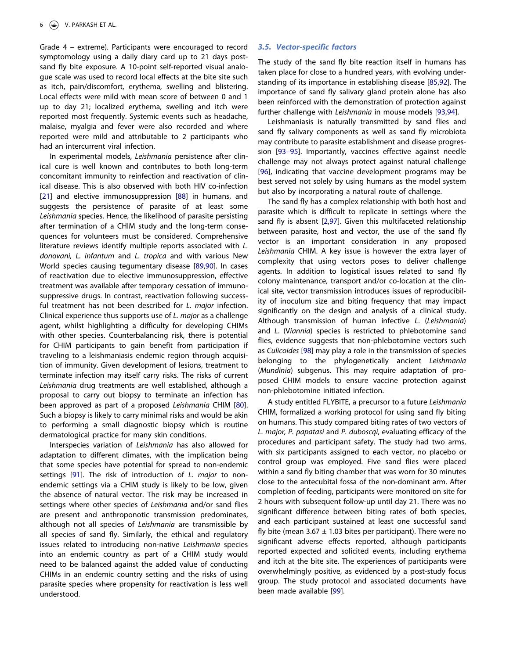Grade 4 – extreme). Participants were encouraged to record symptomology using a daily diary card up to 21 days postsand fly bite exposure. A 10-point self-reported visual analogue scale was used to record local effects at the bite site such as itch, pain/discomfort, erythema, swelling and blistering. Local effects were mild with mean score of between 0 and 1 up to day 21; localized erythema, swelling and itch were reported most frequently. Systemic events such as headache, malaise, myalgia and fever were also recorded and where reported were mild and attributable to 2 participants who had an intercurrent viral infection.

<span id="page-7-1"></span><span id="page-7-0"></span>In experimental models, *Leishmania* persistence after clinical cure is well known and contributes to both long-term concomitant immunity to reinfection and reactivation of clinical disease. This is also observed with both HIV co-infection [[21](#page-10-19)] and elective immunosuppression [\[88\]](#page-12-7) in humans, and suggests the persistence of parasite of at least some *Leishmania* species. Hence, the likelihood of parasite persisting after termination of a CHIM study and the long-term consequences for volunteers must be considered. Comprehensive literature reviews identify multiple reports associated with *L. donovani, L. infantum* and *L. tropica* and with various New World species causing tegumentary disease [[89](#page-12-8)[,90](#page-12-9)]. In cases of reactivation due to elective immunosuppression, effective treatment was available after temporary cessation of immunosuppressive drugs. In contrast, reactivation following successful treatment has not been described for *L. major* infection. Clinical experience thus supports use of *L. major* as a challenge agent, whilst highlighting a difficulty for developing CHIMs with other species. Counterbalancing risk, there is potential for CHIM participants to gain benefit from participation if traveling to a leishmaniasis endemic region through acquisition of immunity. Given development of lesions, treatment to terminate infection may itself carry risks. The risks of current *Leishmania* drug treatments are well established, although a proposal to carry out biopsy to terminate an infection has been approved as part of a proposed *Leishmania* CHIM [\[80](#page-11-32)]. Such a biopsy is likely to carry minimal risks and would be akin to performing a small diagnostic biopsy which is routine dermatological practice for many skin conditions.

<span id="page-7-2"></span>Interspecies variation of *Leishmania* has also allowed for adaptation to different climates, with the implication being that some species have potential for spread to non-endemic settings [\[91](#page-12-10)]. The risk of introduction of *L. major* to nonendemic settings via a CHIM study is likely to be low, given the absence of natural vector. The risk may be increased in settings where other species of *Leishmania* and/or sand flies are present and anthroponotic transmission predominates, although not all species of *Leishmania* are transmissible by all species of sand fly. Similarly, the ethical and regulatory issues related to introducing non-native *Leishmania* species into an endemic country as part of a CHIM study would need to be balanced against the added value of conducting CHIMs in an endemic country setting and the risks of using parasite species where propensity for reactivation is less well understood.

## **3.5. Vector-specific factors**

<span id="page-7-3"></span>The study of the sand fly bite reaction itself in humans has taken place for close to a hundred years, with evolving understanding of its importance in establishing disease [\[85](#page-12-4)[,92\]](#page-12-11). The importance of sand fly salivary gland protein alone has also been reinforced with the demonstration of protection against further challenge with *Leishmania* in mouse models [[93,](#page-12-12)[94](#page-12-13)].

<span id="page-7-5"></span><span id="page-7-4"></span>Leishmaniasis is naturally transmitted by sand flies and sand fly salivary components as well as sand fly microbiota may contribute to parasite establishment and disease progression [[93–95](#page-12-12)]. Importantly, vaccines effective against needle challenge may not always protect against natural challenge [\[96](#page-12-14)], indicating that vaccine development programs may be best served not solely by using humans as the model system but also by incorporating a natural route of challenge.

<span id="page-7-7"></span><span id="page-7-6"></span>The sand fly has a complex relationship with both host and parasite which is difficult to replicate in settings where the sand fly is absent [\[2,](#page-10-1)[97\]](#page-12-15). Given this multifaceted relationship between parasite, host and vector, the use of the sand fly vector is an important consideration in any proposed *Leishmania* CHIM. A key issue is however the extra layer of complexity that using vectors poses to deliver challenge agents. In addition to logistical issues related to sand fly colony maintenance, transport and/or co-location at the clinical site, vector transmission introduces issues of reproducibility of inoculum size and biting frequency that may impact significantly on the design and analysis of a clinical study. Although transmission of human infective *L*. (*Leishmania*) and *L*. (V*iannia*) species is restricted to phlebotomine sand flies, evidence suggests that non-phlebotomine vectors such as *Culicoides* [\[98](#page-12-16)] may play a role in the transmission of species belonging to the phylogenetically ancient *Leishmania*  (*Mundinia*) subgenus. This may require adaptation of proposed CHIM models to ensure vaccine protection against non-phlebotomine initiated infection.

<span id="page-7-8"></span>A study entitled FLYBITE, a precursor to a future *Leishmania*  CHIM, formalized a working protocol for using sand fly biting on humans. This study compared biting rates of two vectors of *L. major, P. papatasi* and *P. duboscqi*, evaluating efficacy of the procedures and participant safety. The study had two arms, with six participants assigned to each vector, no placebo or control group was employed. Five sand flies were placed within a sand fly biting chamber that was worn for 30 minutes close to the antecubital fossa of the non-dominant arm. After completion of feeding, participants were monitored on site for 2 hours with subsequent follow-up until day 21. There was no significant difference between biting rates of both species, and each participant sustained at least one successful sand fly bite (mean 3.67  $\pm$  1.03 bites per participant). There were no significant adverse effects reported, although participants reported expected and solicited events, including erythema and itch at the bite site. The experiences of participants were overwhelmingly positive, as evidenced by a post-study focus group. The study protocol and associated documents have been made available [[99\]](#page-12-17).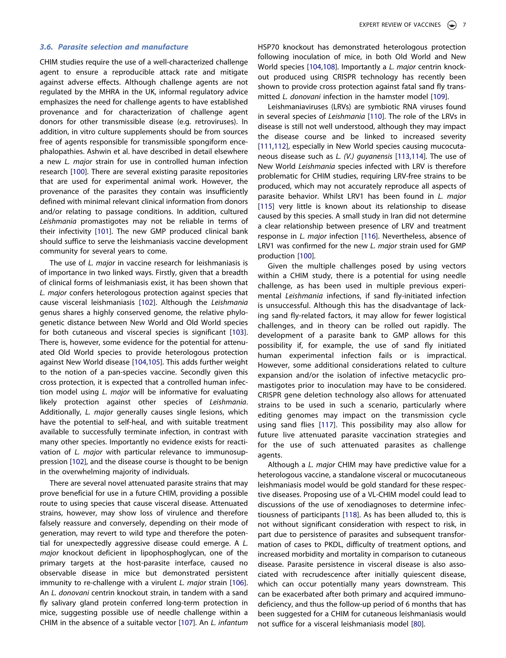## **3.6. Parasite selection and manufacture**

CHIM studies require the use of a well-characterized challenge agent to ensure a reproducible attack rate and mitigate against adverse effects. Although challenge agents are not regulated by the MHRA in the UK, informal regulatory advice emphasizes the need for challenge agents to have established provenance and for characterization of challenge agent donors for other transmissible disease (e.g. retroviruses). In addition, in vitro culture supplements should be from sources free of agents responsible for transmissible spongiform encephalopathies. Ashwin et al. have described in detail elsewhere a new *L. major* strain for use in controlled human infection research [[100](#page-12-18)]. There are several existing parasite repositories that are used for experimental animal work. However, the provenance of the parasites they contain was insufficiently defined with minimal relevant clinical information from donors and/or relating to passage conditions. In addition, cultured *Leishmania* promastigotes may not be reliable in terms of their infectivity [[101\]](#page-12-19). The new GMP produced clinical bank should suffice to serve the leishmaniasis vaccine development community for several years to come.

<span id="page-8-4"></span><span id="page-8-2"></span>The use of *L. major* in vaccine research for leishmaniasis is of importance in two linked ways. Firstly, given that a breadth of clinical forms of leishmaniasis exist, it has been shown that *L. major* confers heterologous protection against species that cause visceral leishmaniasis [[102\]](#page-12-20). Although the *Leishmania*  genus shares a highly conserved genome, the relative phylogenetic distance between New World and Old World species for both cutaneous and visceral species is significant [\[103](#page-12-21)]. There is, however, some evidence for the potential for attenuated Old World species to provide heterologous protection against New World disease [[104](#page-12-22)[,105\]](#page-12-23). This adds further weight to the notion of a pan-species vaccine. Secondly given this cross protection, it is expected that a controlled human infection model using *L. major* will be informative for evaluating likely protection against other species of *Leishmania*. Additionally, *L. major* generally causes single lesions, which have the potential to self-heal, and with suitable treatment available to successfully terminate infection, in contrast with many other species. Importantly no evidence exists for reactivation of *L. major* with particular relevance to immunosuppression [[102](#page-12-20)], and the disease course is thought to be benign in the overwhelming majority of individuals.

<span id="page-8-6"></span><span id="page-8-5"></span><span id="page-8-1"></span>There are several novel attenuated parasite strains that may prove beneficial for use in a future CHIM, providing a possible route to using species that cause visceral disease. Attenuated strains, however, may show loss of virulence and therefore falsely reassure and conversely, depending on their mode of generation, may revert to wild type and therefore the potential for unexpectedly aggressive disease could emerge. A *L. major* knockout deficient in lipophosphoglycan, one of the primary targets at the host-parasite interface, caused no observable disease in mice but demonstrated persistent immunity to re-challenge with a virulent *L. major* strain [\[106](#page-12-24)]. An *L. donovani* centrin knockout strain, in tandem with a sand fly salivary gland protein conferred long-term protection in mice, suggesting possible use of needle challenge within a CHIM in the absence of a suitable vector [[107](#page-12-25)]. An *L. infantum*  <span id="page-8-3"></span>HSP70 knockout has demonstrated heterologous protection following inoculation of mice, in both Old World and New World species [\[104](#page-12-22),[108\]](#page-12-26). Importantly a *L. major* centrin knockout produced using CRISPR technology has recently been shown to provide cross protection against fatal sand fly transmitted *L. donovani* infection in the hamster model [[109](#page-12-27)].

<span id="page-8-10"></span><span id="page-8-9"></span><span id="page-8-8"></span><span id="page-8-7"></span>Leishmaniaviruses (LRVs) are symbiotic RNA viruses found in several species of *Leishmania* [[110](#page-12-28)]. The role of the LRVs in disease is still not well understood, although they may impact the disease course and be linked to increased severity [\[111](#page-12-29)[,112\]](#page-12-30), especially in New World species causing mucocutaneous disease such as *L. (V.) guyanensis* [[113](#page-12-31)[,114](#page-13-0)]. The use of New World *Leishmania* species infected with LRV is therefore problematic for CHIM studies, requiring LRV-free strains to be produced, which may not accurately reproduce all aspects of parasite behavior. Whilst LRV1 has been found in *L. major*  [\[115](#page-13-1)] very little is known about its relationship to disease caused by this species. A small study in Iran did not determine a clear relationship between presence of LRV and treatment response in *L. major* infection [\[116\]](#page-13-2). Nevertheless, absence of LRV1 was confirmed for the new *L. major* strain used for GMP production [[100\]](#page-12-18).

<span id="page-8-12"></span><span id="page-8-11"></span><span id="page-8-0"></span>Given the multiple challenges posed by using vectors within a CHIM study, there is a potential for using needle challenge, as has been used in multiple previous experimental *Leishmania* infections, if sand fly-initiated infection is unsuccessful. Although this has the disadvantage of lacking sand fly-related factors, it may allow for fewer logistical challenges, and in theory can be rolled out rapidly. The development of a parasite bank to GMP allows for this possibility if, for example, the use of sand fly initiated human experimental infection fails or is impractical. However, some additional considerations related to culture expansion and/or the isolation of infective metacyclic promastigotes prior to inoculation may have to be considered. CRISPR gene deletion technology also allows for attenuated strains to be used in such a scenario, particularly where editing genomes may impact on the transmission cycle using sand flies [[117\]](#page-13-3). This possibility may also allow for future live attenuated parasite vaccination strategies and for the use of such attenuated parasites as challenge agents.

<span id="page-8-14"></span><span id="page-8-13"></span>Although a *L. major* CHIM may have predictive value for a heterologous vaccine, a standalone visceral or mucocutaneous leishmaniasis model would be gold standard for these respective diseases. Proposing use of a VL-CHIM model could lead to discussions of the use of xenodiagnoses to determine infectiousness of participants [\[118](#page-13-4)]. As has been alluded to, this is not without significant consideration with respect to risk, in part due to persistence of parasites and subsequent transformation of cases to PKDL, difficulty of treatment options, and increased morbidity and mortality in comparison to cutaneous disease. Parasite persistence in visceral disease is also associated with recrudescence after initially quiescent disease, which can occur potentially many years downstream. This can be exacerbated after both primary and acquired immunodeficiency, and thus the follow-up period of 6 months that has been suggested for a CHIM for cutaneous leishmaniasis would not suffice for a visceral leishmaniasis model [\[80\]](#page-11-32).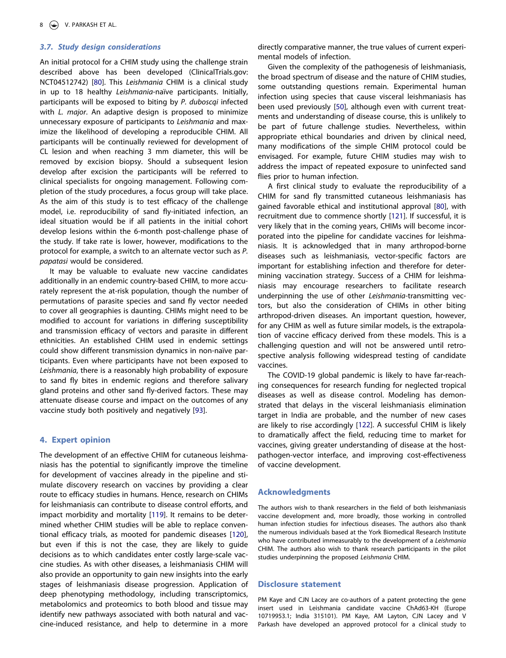## **3.7. Study design considerations**

An initial protocol for a CHIM study using the challenge strain described above has been developed (ClinicalTrials.gov: NCT04512742) [\[80\]](#page-11-32). This *Leishmania* CHIM is a clinical study in up to 18 healthy *Leishmania*-naïve participants. Initially, participants will be exposed to biting by *P. duboscqi* infected with *L. major*. An adaptive design is proposed to minimize unnecessary exposure of participants to *Leishmania* and maximize the likelihood of developing a reproducible CHIM. All participants will be continually reviewed for development of CL lesion and when reaching 3 mm diameter, this will be removed by excision biopsy. Should a subsequent lesion develop after excision the participants will be referred to clinical specialists for ongoing management. Following completion of the study procedures, a focus group will take place. As the aim of this study is to test efficacy of the challenge model, i.e. reproducibility of sand fly-initiated infection, an ideal situation would be if all patients in the initial cohort develop lesions within the 6-month post-challenge phase of the study. If take rate is lower, however, modifications to the protocol for example, a switch to an alternate vector such as *P. papatasi* would be considered.

It may be valuable to evaluate new vaccine candidates additionally in an endemic country-based CHIM, to more accurately represent the at-risk population, though the number of permutations of parasite species and sand fly vector needed to cover all geographies is daunting. CHIMs might need to be modified to account for variations in differing susceptibility and transmission efficacy of vectors and parasite in different ethnicities. An established CHIM used in endemic settings could show different transmission dynamics in non-naïve participants. Even where participants have not been exposed to *Leishmania*, there is a reasonably high probability of exposure to sand fly bites in endemic regions and therefore salivary gland proteins and other sand fly-derived factors. These may attenuate disease course and impact on the outcomes of any vaccine study both positively and negatively [[93\]](#page-12-12).

#### **4. Expert opinion**

<span id="page-9-2"></span><span id="page-9-1"></span>The development of an effective CHIM for cutaneous leishmaniasis has the potential to significantly improve the timeline for development of vaccines already in the pipeline and stimulate discovery research on vaccines by providing a clear route to efficacy studies in humans. Hence, research on CHIMs for leishmaniasis can contribute to disease control efforts, and impact morbidity and mortality [\[119](#page-13-5)]. It remains to be determined whether CHIM studies will be able to replace conventional efficacy trials, as mooted for pandemic diseases [\[120](#page-13-6)], but even if this is not the case, they are likely to guide decisions as to which candidates enter costly large-scale vaccine studies. As with other diseases, a leishmaniasis CHIM will also provide an opportunity to gain new insights into the early stages of leishmaniasis disease progression. Application of deep phenotyping methodology, including transcriptomics, metabolomics and proteomics to both blood and tissue may identify new pathways associated with both natural and vaccine-induced resistance, and help to determine in a more directly comparative manner, the true values of current experimental models of infection.

<span id="page-9-0"></span>Given the complexity of the pathogenesis of leishmaniasis, the broad spectrum of disease and the nature of CHIM studies, some outstanding questions remain. Experimental human infection using species that cause visceral leishmaniasis has been used previously [[50\]](#page-11-33), although even with current treatments and understanding of disease course, this is unlikely to be part of future challenge studies. Nevertheless, within appropriate ethical boundaries and driven by clinical need, many modifications of the simple CHIM protocol could be envisaged. For example, future CHIM studies may wish to address the impact of repeated exposure to uninfected sand flies prior to human infection.

A first clinical study to evaluate the reproducibility of a CHIM for sand fly transmitted cutaneous leishmaniasis has gained favorable ethical and institutional approval [[80](#page-11-32)], with recruitment due to commence shortly [\[121\]](#page-13-7). If successful, it is very likely that in the coming years, CHIMs will become incorporated into the pipeline for candidate vaccines for leishmaniasis. It is acknowledged that in many arthropod-borne diseases such as leishmaniasis, vector-specific factors are important for establishing infection and therefore for determining vaccination strategy. Success of a CHIM for leishmaniasis may encourage researchers to facilitate research underpinning the use of other *Leishmania*-transmitting vectors, but also the consideration of CHIMs in other biting arthropod-driven diseases. An important question, however, for any CHIM as well as future similar models, is the extrapolation of vaccine efficacy derived from these models. This is a challenging question and will not be answered until retrospective analysis following widespread testing of candidate vaccines.

<span id="page-9-3"></span>The COVID-19 global pandemic is likely to have far-reaching consequences for research funding for neglected tropical diseases as well as disease control. Modeling has demonstrated that delays in the visceral leishmaniasis elimination target in India are probable, and the number of new cases are likely to rise accordingly [[122](#page-13-8)]. A successful CHIM is likely to dramatically affect the field, reducing time to market for vaccines, giving greater understanding of disease at the hostpathogen-vector interface, and improving cost-effectiveness of vaccine development.

#### **Acknowledgments**

The authors wish to thank researchers in the field of both leishmaniasis vaccine development and, more broadly, those working in controlled human infection studies for infectious diseases. The authors also thank the numerous individuals based at the York Biomedical Research Institute who have contributed immeasurably to the development of a *Leishmania*  CHIM. The authors also wish to thank research participants in the pilot studies underpinning the proposed *Leishmania* CHIM.

#### **Disclosure statement**

PM Kaye and CJN Lacey are co-authors of a patent protecting the gene insert used in Leishmania candidate vaccine ChAd63-KH (Europe 10719953.1; India 315101). PM Kaye, AM Layton, CJN Lacey and V Parkash have developed an approved protocol for a clinical study to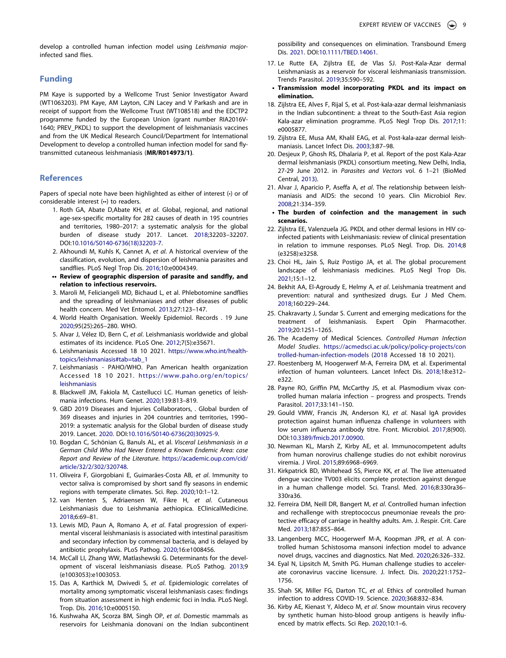develop a controlled human infection model using *Leishmania major*infected sand flies.

## **Funding**

PM Kaye is supported by a Wellcome Trust Senior Investigator Award (WT1063203). PM Kaye, AM Layton, CJN Lacey and V Parkash and are in receipt of support from the Wellcome Trust (WT108518) and the EDCTP2 programme funded by the European Union (grant number RIA2016V-1640; PREV\_PKDL) to support the development of leishmaniasis vaccines and from the UK Medical Research Council/Department for International Development to develop a controlled human infection model for sand flytransmitted cutaneous leishmaniasis (**MR/R014973/1)**.

#### **References**

Papers of special note have been highlighted as either of interest (•) or of considerable interest (••) to readers.

- <span id="page-10-0"></span>1. Roth GA, Abate D,Abate KH, *et al*. Global, regional, and national age-sex-specific mortality for 282 causes of death in 195 countries and territories, 1980–2017: a systematic analysis for the global burden of disease study 2017. Lancet. [2018](#page-2-1);32203–32207. DOI:[10.1016/S0140-6736\(18\)32203-7.](https://doi.org/10.1016/S0140-6736(18)32203-7)
- <span id="page-10-1"></span>2. Akhoundi M, Kuhls K, Cannet A, *et al*. A historical overview of the classification, evolution, and dispersion of leishmania parasites and sandflies. PLoS Negl Trop Dis. [2016](#page-2-2);10:e0004349.
- **•• Review of geographic dispersion of parasite and sandfly, and relation to infectious reservoirs.**
- <span id="page-10-2"></span>3. Maroli M, Feliciangeli MD, Bichaud L, et al. Phlebotomine sandflies and the spreading of leishmaniases and other diseases of public health concern. Med Vet Entomol. [2013;](#page-2-3)27:123–147.
- <span id="page-10-3"></span>4. World Health Organisation. Weekly Epidemiol. Records . 19 June [2020](#page-2-1);95(25):265–280. WHO.
- 5. Alvar J, Vélez ID, Bern C, *et al*. Leishmaniasis worldwide and global estimates of its incidence. PLoS One. 2012;7(5):e35671.
- <span id="page-10-4"></span>6. Leishmaniasis Accessed 18 10 2021. [https://www.who.int/health](https://www.who.int/health-topics/leishmaniasis#tab=tab_1)[topics/leishmaniasis#tab=tab\\_1](https://www.who.int/health-topics/leishmaniasis#tab=tab_1)
- <span id="page-10-5"></span>7. Leishmaniasis - PAHO/WHO. Pan American health organization Accessed 18 10 2021. [https://www.paho.org/en/topics/](https://www.paho.org/en/topics/leishmaniasis) [leishmaniasis](https://www.paho.org/en/topics/leishmaniasis)
- <span id="page-10-6"></span>8. Blackwell JM, Fakiola M, Castellucci LC. Human genetics of leishmania infections. Hum Genet. [2020](#page-2-4);139:813–819.
- <span id="page-10-7"></span>9. GBD 2019 Diseases and Injuries Collaborators, . Global burden of 369 diseases and injuries in 204 countries and territories, 1990– 2019: a systematic analysis for the Global burden of disease study 2019. Lancet. [2020.](#page-2-5) DOI:[10.1016/S0140-6736\(20\)30925-9.](https://doi.org/10.1016/S0140-6736(20)30925-9)
- <span id="page-10-8"></span>10. Bogdan C, Schönian G, Banuls AL, et al. *Visceral Leishmaniasis in a German Child Who Had Never Entered a Known Endemic Area: case Report and Review of the Literature*. [https://academic.oup.com/cid/](https://academic.oup.com/cid/article/32/2/302/320748)  [article/32/2/302/320748.](https://academic.oup.com/cid/article/32/2/302/320748)
- <span id="page-10-9"></span>11. Oliveira F, Giorgobiani E, Guimarães-Costa AB, *et al*. Immunity to vector saliva is compromised by short sand fly seasons in endemic regions with temperate climates. Sci. Rep. [2020](#page-2-6);10:1–12.
- <span id="page-10-10"></span>12. van Henten S, Adriaensen W, Fikre H, *et al*. Cutaneous Leishmaniasis due to Leishmania aethiopica. EClinicalMedicine. [2018](#page-3-0);6:69–81.
- <span id="page-10-11"></span>13. Lewis MD, Paun A, Romano A, *et al*. Fatal progression of experimental visceral leishmaniasis is associated with intestinal parasitism and secondary infection by commensal bacteria, and is delayed by antibiotic prophylaxis. PLoS Pathog. [2020](#page-3-1);16:e1008456.
- <span id="page-10-12"></span>14. McCall LI, Zhang WW, Matlashewski G. Determinants for the development of visceral leishmaniasis disease. PLoS Pathog. [2013;](#page-3-1)9 (e1003053):e1003053.
- <span id="page-10-13"></span>15. Das A, Karthick M, Dwivedi S, *et al*. Epidemiologic correlates of mortality among symptomatic visceral leishmaniasis cases: findings from situation assessment in high endemic foci in India. PLoS Negl. Trop. Dis. [2016;](#page-3-2)10:e0005150.
- <span id="page-10-14"></span>16. Kushwaha AK, Scorza BM, Singh OP, *et al*. Domestic mammals as reservoirs for Leishmania donovani on the Indian subcontinent.

possibility and consequences on elimination. Transbound Emerg Dis. [2021.](#page-3-3) DOI:[10.1111/TBED.14061](https://doi.org/10.1111/TBED.14061).

- <span id="page-10-15"></span>17. Le Rutte EA, Zijlstra EE, de Vlas SJ. Post-Kala-Azar dermal Leishmaniasis as a reservoir for visceral leishmaniasis transmission. Trends Parasitol. [2019](#page-3-4);35:590–592.
- **Transmission model incorporating PKDL and its impact on elimination.**
- <span id="page-10-16"></span>18. Zijlstra EE, Alves F, Rijal S, et al. Post-kala-azar dermal leishmaniasis in the Indian subcontinent: a threat to the South-East Asia region Kala-azar elimination programme. PLoS Negl Trop Dis. [2017;](#page-3-5)11: e0005877.
- <span id="page-10-17"></span>19. Zijlstra EE, Musa AM, Khalil EAG, et al. Post-kala-azar dermal leishmaniasis. Lancet Infect Dis. [2003](#page-3-4);3:87–98.
- <span id="page-10-18"></span>20. Desjeux P, Ghosh RS, Dhalaria P, et al. Report of the post Kala-Azar dermal leishmaniasis (PKDL) consortium meeting, New Delhi, India, 27-29 June 2012. in *Parasites and Vectors* vol. 6 1–21 (BioMed Central, [2013\)](#page-3-4).
- <span id="page-10-19"></span>21. Alvar J, Aparicio P, Aseffa A, *et al*. The relationship between leishmaniasis and AIDS: the second 10 years. Clin Microbiol Rev. [2008](#page-3-6);21:334–359.
- **The burden of coinfection and the management in such scenarios.**
- <span id="page-10-20"></span>22. Zijlstra EE, Valenzuela JG. PKDL and other dermal lesions in HIV coinfected patients with Leishmaniasis: review of clinical presentation in relation to immune responses. PLoS Negl. Trop. Dis. [2014;](#page-3-6)8 (e3258):e3258.
- <span id="page-10-21"></span>23. Choi HL, Jain S, Ruiz Postigo JA, et al. The global procurement landscape of leishmaniasis medicines. PLoS Negl Trop Dis. [2021](#page-3-7);15:1–12.
- 24. Bekhit AA, El-Agroudy E, Helmy A, *et al*. Leishmania treatment and prevention: natural and synthesized drugs. Eur J Med Chem. 2018;160:229–244.
- 25. Chakravarty J, Sundar S. Current and emerging medications for the treatment of leishmaniasis. Expert Opin Pharmacother. 2019;20:1251–1265.
- <span id="page-10-22"></span>26. The Academy of Medical Sciences. *Controlled Human Infection Model Studies*. [https://acmedsci.ac.uk/policy/policy-projects/con](https://acmedsci.ac.uk/policy/policy-projects/controlled-human-infection-models)  [trolled-human-infection-models](https://acmedsci.ac.uk/policy/policy-projects/controlled-human-infection-models) ([2018](#page-3-8) Accessed 18 10 2021).
- <span id="page-10-23"></span>27. Roestenberg M, Hoogerwerf M-A, Ferreira DM, et al. Experimental infection of human volunteers. Lancet Infect Dis. [2018;](#page-3-9)18:e312– e322.
- 28. Payne RO, Griffin PM, McCarthy JS, et al. Plasmodium vivax controlled human malaria infection – progress and prospects. Trends Parasitol. 2017;33:141–150.
- 29. Gould VMW, Francis JN, Anderson KJ, *et al*. Nasal IgA provides protection against human influenza challenge in volunteers with low serum influenza antibody titre. Front. Microbiol. 2017;8(900). DOI:[10.3389/fmicb.2017.00900](https://doi.org/10.3389/fmicb.2017.00900).
- <span id="page-10-26"></span>30. Newman KL, Marsh Z, Kirby AE, et al. Immunocompetent adults from human norovirus challenge studies do not exhibit norovirus viremia. J Virol. [2015](#page-4-0);89:6968–6969.
- <span id="page-10-24"></span>31. Kirkpatrick BD, Whitehead SS, Pierce KK, *et al*. The live attenuated dengue vaccine TV003 elicits complete protection against dengue in a human challenge model. Sci. Transl. Med. [2016](#page-4-1);8:330ra36– 330ra36.
- <span id="page-10-25"></span>32. Ferreira DM, Neill DR, Bangert M, *et al*. Controlled human infection and rechallenge with streptococcus pneumoniae reveals the protective efficacy of carriage in healthy adults. Am. J. Respir. Crit. Care Med. [2013](#page-4-2);187:855–864.
- <span id="page-10-28"></span>33. Langenberg MCC, Hoogerwerf M-A, Koopman JPR, *et al*. A controlled human Schistosoma mansoni infection model to advance novel drugs, vaccines and diagnostics. Nat Med. [2020](#page-4-3);26:326–332.
- 34. Eyal N, Lipsitch M, Smith PG. Human challenge studies to accelerate coronavirus vaccine licensure. J. Infect. Dis. 2020;221:1752– 1756.
- <span id="page-10-29"></span>35. Shah SK, Miller FG, Darton TC, *et al*. Ethics of controlled human infection to address COVID-19. Science. [2020](#page-4-4);368:832–834.
- <span id="page-10-27"></span>36. Kirby AE, Kienast Y, Aldeco M, *et al*. Snow mountain virus recovery by synthetic human histo-blood group antigens is heavily influenced by matrix effects. Sci Rep. [2020;](#page-4-5)10:1–6.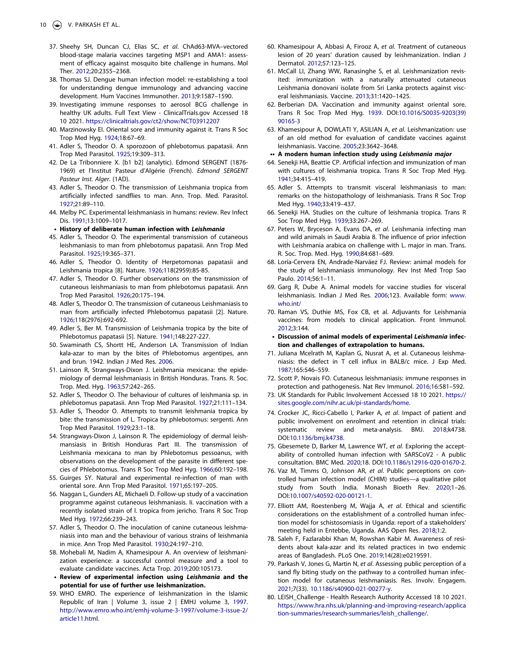- <span id="page-11-0"></span>37. Sheehy SH, Duncan CJ, Elias SC, *et al*. ChAd63-MVA–vectored blood-stage malaria vaccines targeting MSP1 and AMA1: assessment of efficacy against mosquito bite challenge in humans. Mol Ther. [2012;](#page-4-6)20:2355–2368.
- <span id="page-11-1"></span>38. Thomas SJ. Dengue human infection model: re-establishing a tool for understanding dengue immunology and advancing vaccine development. Hum Vaccines Immunother. [2013;](#page-4-1)9:1587–1590.
- <span id="page-11-2"></span>39. Investigating immune responses to aerosol BCG challenge in healthy UK adults. Full Text View - ClinicalTrials.gov Accessed 18 10 2021. <https://clinicaltrials.gov/ct2/show/NCT03912207>
- <span id="page-11-3"></span>40. Marzinowsky EI. Oriental sore and immunity against it. Trans R Soc Trop Med Hyg. [1924;](#page-4-7)18:67–69.
- <span id="page-11-4"></span>41. Adler S, Theodor O. A sporozoon of phlebotomus papatasii. Ann Trop Med Parasitol. [1925](#page-4-8);19:309–313.
- <span id="page-11-5"></span>42. De La Tribonniere X. [b1 b2] (analytic). Edmond SERGENT (1876- 1969) et l'Institut Pasteur d'Algérie (French). *Edmond SERGENT Pasteur Inst. Alger*. (1AD).
- <span id="page-11-6"></span>43. Adler S, Theodor O. The transmission of Leishmania tropica from artificially infected sandflies to man. Ann. Trop. Med. Parasitol. [1927](#page-4-9);21:89–110.
- <span id="page-11-7"></span>44. Melby PC. Experimental leishmaniasis in humans: review. Rev Infect Dis. [1991](#page-4-10);13:1009–1017.
- **History of deliberate human infection with Leishmania**
- 45. Adler S, Theodor O. The experimental transmission of cutaneous leishmaniasis to man from phlebotomus papatasii. Ann Trop Med Parasitol. 1925;19:365–371.
- 46. Adler S, Theodor O. Identity of Herpetomonas papatasii and Leishmania tropica [8]. Nature. 1926;118(2959):85-85.
- 47. Adler S, Theodor O. Further observations on the transmission of cutaneous leishmaniasis to man from phlebotomus papatasii. Ann Trop Med Parasitol. 1926;20:175–194.
- 48. Adler S, Theodor O. The transmission of cutaneous Leishmaniasis to man from artificially infected Phlebotomus papatasii [2]. Nature. 1926;118(2976):692-692.
- 49. Adler S, Ber M. Transmission of Leishmania tropica by the bite of Phlebotomus papatasii [5]. Nature. 1941;148:227-227.
- <span id="page-11-33"></span>50. Swaminath CS, Shortt HE, Anderson LA. Transmission of Indian kala-azar to man by the bites of Phlebotomus argentipes, ann and brun. 1942. Indian J Med Res. [2006.](#page-9-0)
- 51. Lainson R, Strangways-Dixon J. Leishmania mexicana: the epidemiology of dermal leishmaniasis in British Honduras. Trans. R. Soc. Trop. Med. Hyg. 1963;57:242–265.
- <span id="page-11-8"></span>52. Adler S, Theodor O. The behaviour of cultures of leishmania sp. in phlebotomus papatasii. Ann Trop Med Parasitol. [1927;](#page-4-11)21:111–134.
- <span id="page-11-9"></span>53. Adler S, Theodor O. Attempts to transmit leishmania tropica by bite: the transmission of L. Tropica by phlebotomus: sergenti. Ann Trop Med Parasitol. [1929](#page-4-11);23:1–18.
- <span id="page-11-10"></span>54. Strangways-Dixon J, Lainson R. The epidemiology of dermal leishmansiasis in British Honduras Part III. The transmission of Leishmania mexicana to man by Phlebotomus pessoanus, with observations on the development of the parasite in different species of Phlebotomus. Trans R Soc Trop Med Hyg. [1966;](#page-4-12)60:192–198.
- 55. Guirges SY. Natural and experimental re-infection of man with oriental sore. Ann Trop Med Parasitol. 1971;65:197–205.
- 56. Naggan L, Gunders AE, Michaeli D. Follow-up study of a vaccination programme against cutaneous leishmaniasis. Ii. vaccination with a recently isolated strain of l. tropica from jericho. Trans R Soc Trop Med Hyg. 1972;66:239–243.
- <span id="page-11-11"></span>57. Adler S, Theodor O. The inoculation of canine cutaneous leishmaniasis into man and the behaviour of various strains of leishmania in mice. Ann Trop Med Parasitol. [1930;](#page-4-13)24:197–210.
- <span id="page-11-12"></span>58. Mohebali M, Nadim A, Khamesipour A. An overview of leishmanization experience: a successful control measure and a tool to evaluate candidate vaccines. Acta Trop. [2019;](#page-4-14)200:105173.
- **Review of experimental infection using Leishmania and the potential for use of further use leishmanization.**
- <span id="page-11-13"></span>59. WHO EMRO. The experience of leishmanization in the Islamic Republic of Iran | Volume 3, issue 2 | EMHJ volume 3, [1997](#page-4-15). [http://www.emro.who.int/emhj-volume-3-1997/volume-3-issue-2/](http://www.emro.who.int/emhj-volume-3-1997/volume-3-issue-2/article11.html)  [article11.html.](http://www.emro.who.int/emhj-volume-3-1997/volume-3-issue-2/article11.html)
- <span id="page-11-14"></span>60. Khamesipour A, Abbasi A, Firooz A, *et al*. Treatment of cutaneous lesion of 20 years' duration caused by leishmanization. Indian J Dermatol. [2012;](#page-4-16)57:123–125.
- <span id="page-11-15"></span>61. McCall LI, Zhang WW, Ranasinghe S, et al. Leishmanization revisited: immunization with a naturally attenuated cutaneous Leishmania donovani isolate from Sri Lanka protects against visceral leishmaniasis. Vaccine. [2013;](#page-4-17)31:1420–1425.
- <span id="page-11-16"></span>62. Berberian DA. Vaccination and immunity against oriental sore. Trans R Soc Trop Med Hyg. [1939.](#page-4-10) DOI:[10.1016/S0035-9203\(39\)](https://doi.org/10.1016/S0035-9203(39)90165-3) [90165-3](https://doi.org/10.1016/S0035-9203(39)90165-3)
- <span id="page-11-19"></span>63. Khamesipour A, DOWLATI Y, ASILIAN A, *et al*. Leishmanization: use of an old method for evaluation of candidate vaccines against leishmaniasis. Vaccine. [2005;](#page-4-18)23:3642–3648.

#### **•• A modern human infection study using Leishmania major**

- 64. Senekji HA, Beattie CP. Artificial infection and immunization of man with cultures of leishmania tropica. Trans R Soc Trop Med Hyg. 1941;34:415–419.
- 65. Adler S. Attempts to transmit visceral leishmaniasis to man: remarks on the histopathology of leishmaniasis. Trans R Soc Trop Med Hyg. 1940;33:419–437.
- <span id="page-11-17"></span>66. Senekji HA. Studies on the culture of leishmania tropica. Trans R Soc Trop Med Hyg. [1939](#page-4-19);33:267–269.
- <span id="page-11-18"></span>67. Peters W, Bryceson A, Evans DA, *et al*. Leishmania infecting man and wild animals in Saudi Arabia 8. The influence of prior infection with Leishmania arabica on challenge with L. major in man. Trans. R. Soc. Trop. Med. Hyg. [1990;](#page-4-20)84:681–689.
- <span id="page-11-20"></span>68. Loría-Cervera EN, Andrade-Narváez FJ. Review: animal models for the study of leishmaniasis immunology. Rev Inst Med Trop Sao Paulo. [2014](#page-4-21);56:1–11.
- <span id="page-11-21"></span>69. Garg R, Dube A. Animal models for vaccine studies for visceral leishmaniasis. Indian J Med Res. [2006](#page-4-21);123. Available form: [www.](http://www.who.int/) [who.int/](http://www.who.int/)
- <span id="page-11-22"></span>70. Raman VS, Duthie MS, Fox CB, et al. Adjuvants for Leishmania vaccines: from models to clinical application. Front Immunol. [2012](#page-4-22);3:144.
- **Discussion of animal models of experimental Leishmania infection and challenges of extrapolation to humans.**
- <span id="page-11-23"></span>71. Juliana Mcelrath M, Kaplan G, Nusrat A, et al. Cutaneous leishmaniasis: the defect in T cell influx in BALB/c mice. J Exp Med. [1987](#page-5-1);165:546–559.
- <span id="page-11-24"></span>72. Scott P, Novais FO. Cutaneous leishmaniasis: immune responses in protection and pathogenesis. Nat Rev Immunol. [2016;](#page-5-1)16:581–592.
- <span id="page-11-25"></span>73. UK Standards for Public Involvement Accessed 18 10 2021. [https://](https://sites.google.com/nihr.ac.uk/pi-standards/home) [sites.google.com/nihr.ac.uk/pi-standards/home.](https://sites.google.com/nihr.ac.uk/pi-standards/home)
- <span id="page-11-26"></span>74. Crocker JC, Ricci-Cabello I, Parker A, *et al*. Impact of patient and public involvement on enrolment and retention in clinical trials: systematic review and meta-analysis. BMJ. [2018;](#page-5-2)k4738. DOI:[10.1136/bmj.k4738](https://doi.org/10.1136/bmj.k4738).
- <span id="page-11-27"></span>75. Gbesemete D, Barker M, Lawrence WT, *et al*. Exploring the acceptability of controlled human infection with SARSCoV2 - A public consultation. BMC Med. [2020](#page-5-3);18. DOI:[10.1186/s12916-020-01670-2.](https://doi.org/10.1186/s12916-020-01670-2)
- <span id="page-11-28"></span>76. Vaz M, Timms O, Johnson AR, *et al*. Public perceptions on controlled human infection model (CHIM) studies—a qualitative pilot study from South India. Monash Bioeth Rev. [2020;](#page-5-4)1–26. DOI:[10.1007/s40592-020-00121-1](https://doi.org/10.1007/s40592-020-00121-1).
- <span id="page-11-29"></span>77. Elliott AM, Roestenberg M, Wajja A, *et al*. Ethical and scientific considerations on the establishment of a controlled human infection model for schistosomiasis in Uganda: report of a stakeholders' meeting held in Entebbe, Uganda. AAS Open Res. [2018;](#page-5-5)1:2.
- <span id="page-11-30"></span>78. Saleh F, Fazlarabbi Khan M, Rowshan Kabir M. Awareness of residents about kala-azar and its related practices in two endemic areas of Bangladesh. PLoS One. [2019](#page-5-6);14(28):e0219591.
- <span id="page-11-31"></span>79. Parkash V, Jones G, Martin N, *et al*. Assessing public perception of a sand fly biting study on the pathway to a controlled human infection model for cutaneous leishmaniasis. Res. Involv. Engagem. [2021](#page-5-7);7(33). [10.1186/s40900-021-00277-y.](https://doi.org/10.1186/s40900-021-00277-y)
- <span id="page-11-32"></span>80. LEISH\_Challenge - Health Research Authority Accessed 18 10 2021. [https://www.hra.nhs.uk/planning-and-improving-research/applica](https://www.hra.nhs.uk/planning-and-improving-research/application-summaries/research-summaries/leish_challenge/)  [tion-summaries/research-summaries/leish\\_challenge/](https://www.hra.nhs.uk/planning-and-improving-research/application-summaries/research-summaries/leish_challenge/).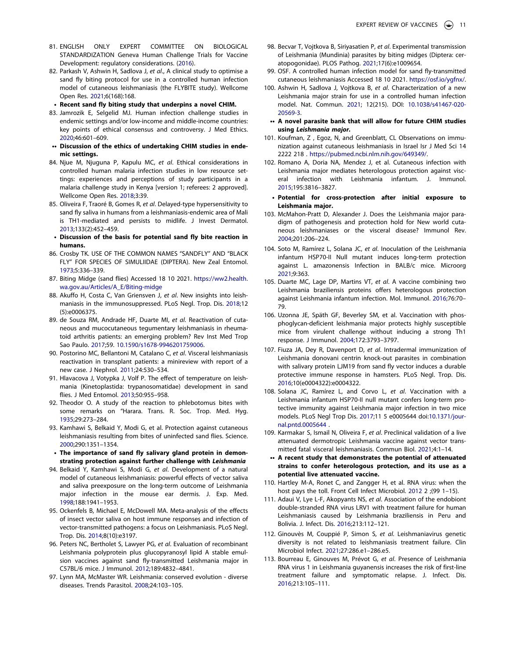- <span id="page-12-0"></span>81. ENGLISH ONLY EXPERT COMMITTEE ON BIOLOGICAL STANDARDIZATION Geneva Human Challenge Trials for Vaccine Development: regulatory considerations. ([2016](#page-6-0)).
- <span id="page-12-1"></span>82. Parkash V, Ashwin H, Sadlova J, *et al*., A clinical study to optimise a sand fly biting protocol for use in a controlled human infection model of cutaneous leishmaniasis (the FLYBITE study). Wellcome Open Res. [2021](#page-6-1);6(168):168.
	- **Recent sand fly biting study that underpins a novel CHIM.**
- <span id="page-12-2"></span>83. Jamrozik E, Selgelid MJ. Human infection challenge studies in endemic settings and/or low-income and middle-income countries: key points of ethical consensus and controversy. J Med Ethics. [2020](#page-6-2);46:601–609.
- **•• Discussion of the ethics of undertaking CHIM studies in endemic settings.**
- <span id="page-12-3"></span>84. Njue M, Njuguna P, Kapulu MC, *et al*. Ethical considerations in controlled human malaria infection studies in low resource settings: experiences and perceptions of study participants in a malaria challenge study in Kenya [version 1; referees: 2 approved]. Wellcome Open Res. [2018](#page-6-2);3:39.
- <span id="page-12-4"></span>85. Oliveira F, Traoré B, Gomes R, *et al*. Delayed-type hypersensitivity to sand fly saliva in humans from a leishmaniasis-endemic area of Mali is TH1-mediated and persists to midlife. J Invest Dermatol. [2013](#page-6-3);133(2):452–459.
- **Discussion of the basis for potential sand fly bite reaction in humans.**
- <span id="page-12-5"></span>86. Crosby TK. USE OF THE COMMON NAMES "SANDFLY" AND "BLACK FLY" FOR SPECIES OF SIMULIIDAE (DIPTERA). New Zeal Entomol. [1973](#page-6-4);5:336–339.
- <span id="page-12-6"></span>87. Biting Midge (sand flies) Accessed 18 10 2021. [https://ww2.health.](https://ww2.health.wa.gov.au/Articles/A_E/Biting-midge)  [wa.gov.au/Articles/A\\_E/Biting-midge](https://ww2.health.wa.gov.au/Articles/A_E/Biting-midge)
- <span id="page-12-7"></span>88. Akuffo H, Costa C, Van Griensven J, *et al*. New insights into leishmaniasis in the immunosuppressed. PLoS Negl. Trop. Dis. [2018;](#page-7-0)12 (5):e0006375.
- <span id="page-12-8"></span>89. de Souza RM, Andrade HF, Duarte MI, *et al*. Reactivation of cutaneous and mucocutaneous tegumentary leishmaniasis in rheumatoid arthritis patients: an emerging problem? Rev Inst Med Trop Sao Paulo. [2017](#page-7-1);59. [10.1590/s1678-9946201759006.](https://doi.org/10.1590/s1678-9946201759006)
- <span id="page-12-9"></span>90. Postorino MC, Bellantoni M, Catalano C, *et al*. Visceral leishmaniasis reactivation in transplant patients: a minireview with report of a new case. J Nephrol. [2011](#page-7-1);24:530–534.
- <span id="page-12-10"></span>91. Hlavacova J, Votypka J, Volf P. The effect of temperature on leishmania (Kinetoplastida: trypanosomatidae) development in sand flies. J Med Entomol. [2013;](#page-7-2)50:955–958.
- <span id="page-12-11"></span>92. Theodor O. A study of the reaction to phlebotomus bites with some remarks on "Harara. Trans. R. Soc. Trop. Med. Hyg. [1935](#page-7-3);29:273–284.
- <span id="page-12-12"></span>93. Kamhawi S, Belkaid Y, Modi G, et al. Protection against cutaneous leishmaniasis resulting from bites of uninfected sand flies. Science. [2000](#page-7-4);290:1351–1354.
	- **The importance of sand fly salivary gland protein in demonstrating protection against further challenge with Leishmania**
- <span id="page-12-13"></span>94. Belkaid Y, Kamhawi S, Modi G, *et al*. Development of a natural model of cutaneous leishmaniasis: powerful effects of vector saliva and saliva preexposure on the long-term outcome of Leishmania major infection in the mouse ear dermis. J. Exp. Med. [1998](#page-7-5);188:1941–1953.
- 95. Ockenfels B, Michael E, McDowell MA. Meta-analysis of the effects of insect vector saliva on host immune responses and infection of vector-transmitted pathogens: a focus on Leishmaniasis. PLoS Negl. Trop. Dis. 2014;8(10):e3197.
- <span id="page-12-14"></span>96. Peters NC, Bertholet S, Lawyer PG, *et al*. Evaluation of recombinant Leishmania polyprotein plus glucopyranosyl lipid A stable emulsion vaccines against sand fly-transmitted Leishmania major in C57BL/6 mice. J Immunol. [2012;](#page-7-6)189:4832–4841.
- <span id="page-12-15"></span>97. Lynn MA, McMaster WR. Leishmania: conserved evolution - diverse diseases. Trends Parasitol. [2008;](#page-7-7)24:103–105.
- <span id="page-12-16"></span>98. Becvar T, Vojtkova B, Siriyasatien P, *et al*. Experimental transmission of Leishmania (Mundinia) parasites by biting midges (Diptera: ceratopogonidae). PLOS Pathog. [2021;](#page-7-8)17(6):e1009654.
- <span id="page-12-17"></span>99. OSF. A controlled human infection model for sand fly-transmitted cutaneous leishmaniasis Accessed 18 10 2021. [https://osf.io/ygfnx/.](https://osf.io/ygfnx/)
- <span id="page-12-18"></span>100. Ashwin H, Sadlova J, Vojtkova B, *et al*. Characterization of a new Leishmania major strain for use in a controlled human infection model. Nat. Commun. [2021;](#page-8-0) 12(215). DOI: [10.1038/s41467-020-](https://doi.org/10.1038/s41467-020-20569-3) [20569-3.](https://doi.org/10.1038/s41467-020-20569-3)
- **•• A novel parasite bank that will allow for future CHIM studies using Leishmania major.**
- <span id="page-12-19"></span>101. Koufman, Z , Egoz, N, and Greenblatt, CL Observations on immunization against cutaneous leishmaniasis in Israel Isr J Med Sci 14 2222 218 . [https://pubmed.ncbi.nlm.nih.gov/649349/.](https://pubmed.ncbi.nlm.nih.gov/649349/)
- <span id="page-12-20"></span>102. Romano A, Doria NA, Mendez J, et al. Cutaneous infection with Leishmania major mediates heterologous protection against visceral infection with Leishmania infantum. J. Immunol. [2015](#page-8-1);195:3816–3827.
	- **Potential for cross-protection after initial exposure to Leishmania major.**
- <span id="page-12-21"></span>103. McMahon-Pratt D, Alexander J. Does the Leishmania major paradigm of pathogenesis and protection hold for New world cutaneous leishmaniases or the visceral disease? Immunol Rev. [2004](#page-8-2);201:206–224.
- <span id="page-12-22"></span>104. Soto M, Ramírez L, Solana JC, *et al*. Inoculation of the Leishmania infantum HSP70-II Null mutant induces long-term protection against L. amazonensis Infection in BALB/c mice. Microorg [2021](#page-8-3);9:363.
- <span id="page-12-23"></span>105. Duarte MC, Lage DP, Martins VT, *et al*. A vaccine combining two Leishmania braziliensis proteins offers heterologous protection against Leishmania infantum infection. Mol. Immunol. [2016;](#page-8-4)76:70– 79.
- <span id="page-12-24"></span>106. Uzonna JE, Späth GF, Beverley SM, et al. Vaccination with phosphoglycan-deficient leishmania major protects highly susceptible mice from virulent challenge without inducing a strong Th1 response. J Immunol. [2004](#page-8-5);172:3793–3797.
- <span id="page-12-25"></span>107. Fiuza JA, Dey R, Davenport D, *et al*. Intradermal immunization of Leishmania donovani centrin knock-out parasites in combination with salivary protein LJM19 from sand fly vector induces a durable protective immune response in hamsters. PLoS Negl. Trop. Dis. [2016](#page-8-6);10(e0004322):e0004322.
- <span id="page-12-26"></span>108. Solana JC, Ramírez L, and Corvo L, *et al*. Vaccination with a Leishmania infantum HSP70-II null mutant confers long-term protective immunity against Leishmania major infection in two mice models. PLoS Negl Trop Dis. [2017;](#page-8-3)11 5 e0005644 doi:[10.1371/jour](https://doi.org/10.1371/journal.pntd.0005644)[nal.pntd.0005644](https://doi.org/10.1371/journal.pntd.0005644) .
- <span id="page-12-27"></span>109. Karmakar S, Ismail N, Oliveira F, *et al*. Preclinical validation of a live attenuated dermotropic Leishmania vaccine against vector transmitted fatal visceral leishmaniasis. Commun Biol. [2021](#page-8-7);4:1–14.
- **•• A recent study that demonstrates the potential of attenuated strains to confer heterologous protection, and its use as a potential live attenuated vaccine.**
- <span id="page-12-28"></span>110. Hartley M-A, Ronet C, and Zangger H, et al. RNA virus: when the host pays the toll. Front Cell Infect Microbiol. [2012](#page-8-8) 2 ;(99 1-15).
- <span id="page-12-29"></span>111. Adaui V, Lye L-F, Akopyants NS, *et al*. Association of the endobiont double-stranded RNA virus LRV1 with treatment failure for human Leishmaniasis caused by Leishmania braziliensis in Peru and Bolivia. J. Infect. Dis. [2016;](#page-8-9)213:112–121.
- <span id="page-12-30"></span>112. Ginouvès M, Couppié P, Simon S, *et al*. Leishmaniavirus genetic diversity is not related to leishmaniasis treatment failure. Clin Microbiol Infect. [2021;](#page-8-9)27:286.e1–286.e5.
- <span id="page-12-31"></span>113. Bourreau E, Ginouves M, Prévot G, *et al*. Presence of Leishmania RNA virus 1 in Leishmania guyanensis increases the risk of first-line treatment failure and symptomatic relapse. J. Infect. Dis. [2016](#page-8-10);213:105–111.